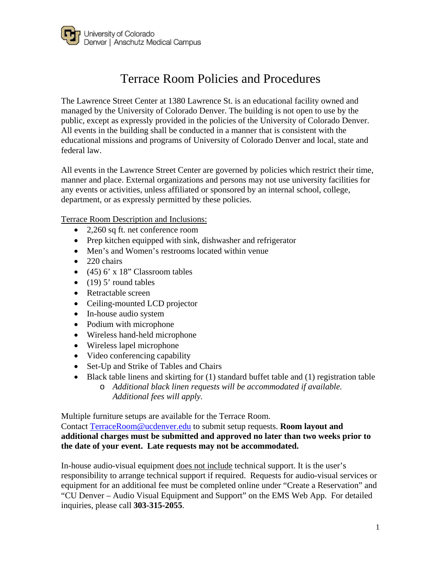

# Terrace Room Policies and Procedures

The Lawrence Street Center at 1380 Lawrence St. is an educational facility owned and managed by the University of Colorado Denver. The building is not open to use by the public, except as expressly provided in the policies of the University of Colorado Denver. All events in the building shall be conducted in a manner that is consistent with the educational missions and programs of University of Colorado Denver and local, state and federal law.

All events in the Lawrence Street Center are governed by policies which restrict their time, manner and place. External organizations and persons may not use university facilities for any events or activities, unless affiliated or sponsored by an internal school, college, department, or as expressly permitted by these policies.

Terrace Room Description and Inclusions:

- 2,260 sq ft. net conference room
- Prep kitchen equipped with sink, dishwasher and refrigerator
- Men's and Women's restrooms located within venue
- 220 chairs
- $(45)$  6' x 18" Classroom tables
- $\bullet$  (19) 5' round tables
- Retractable screen
- Ceiling-mounted LCD projector
- In-house audio system
- Podium with microphone
- Wireless hand-held microphone
- Wireless lapel microphone
- Video conferencing capability
- Set-Up and Strike of Tables and Chairs
- Black table linens and skirting for (1) standard buffet table and (1) registration table o *Additional black linen requests will be accommodated if available.* 
	- *Additional fees will apply.*

Multiple furniture setups are available for the Terrace Room.

Contact [TerraceRoom@ucdenver.edu](mailto:TerraceRoom@ucdenver.edu) to submit setup requests. **Room layout and additional charges must be submitted and approved no later than two weeks prior to the date of your event. Late requests may not be accommodated.**

In-house audio-visual equipment does not include technical support. It is the user's responsibility to arrange technical support if required. Requests for audio-visual services or equipment for an additional fee must be completed online under "Create a Reservation" and "CU Denver – Audio Visual Equipment and Support" on the EMS Web App. For detailed inquiries, please call **303-315-2055**.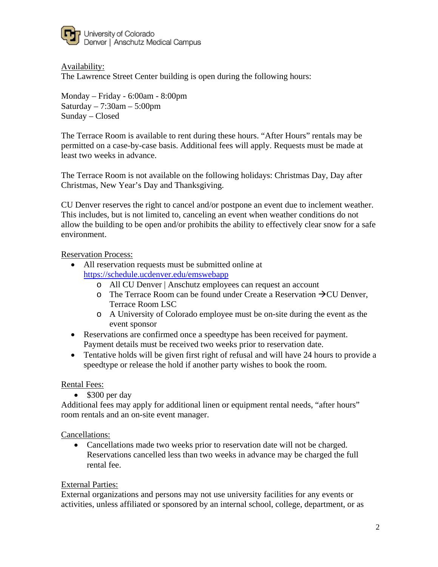

Availability:

The Lawrence Street Center building is open during the following hours:

Monday – Friday - 6:00am - 8:00pm Saturday  $-7:30$ am  $-5:00$ pm Sunday – Closed

The Terrace Room is available to rent during these hours. "After Hours" rentals may be permitted on a case-by-case basis. Additional fees will apply. Requests must be made at least two weeks in advance.

The Terrace Room is not available on the following holidays: Christmas Day, Day after Christmas, New Year's Day and Thanksgiving.

CU Denver reserves the right to cancel and/or postpone an event due to inclement weather. This includes, but is not limited to, canceling an event when weather conditions do not allow the building to be open and/or prohibits the ability to effectively clear snow for a safe environment.

#### Reservation Process:

- All reservation requests must be submitted online at <https://schedule.ucdenver.edu/emswebapp>
	- o All CU Denver | Anschutz employees can request an account
	- o The Terrace Room can be found under Create a Reservation  $\rightarrow$  CU Denver, Terrace Room LSC
	- o A University of Colorado employee must be on-site during the event as the event sponsor
- Reservations are confirmed once a speedtype has been received for payment. Payment details must be received two weeks prior to reservation date.
- Tentative holds will be given first right of refusal and will have 24 hours to provide a speedtype or release the hold if another party wishes to book the room.

#### Rental Fees:

• \$300 per day

Additional fees may apply for additional linen or equipment rental needs, "after hours" room rentals and an on-site event manager.

#### Cancellations:

• Cancellations made two weeks prior to reservation date will not be charged. Reservations cancelled less than two weeks in advance may be charged the full rental fee.

#### External Parties:

External organizations and persons may not use university facilities for any events or activities, unless affiliated or sponsored by an internal school, college, department, or as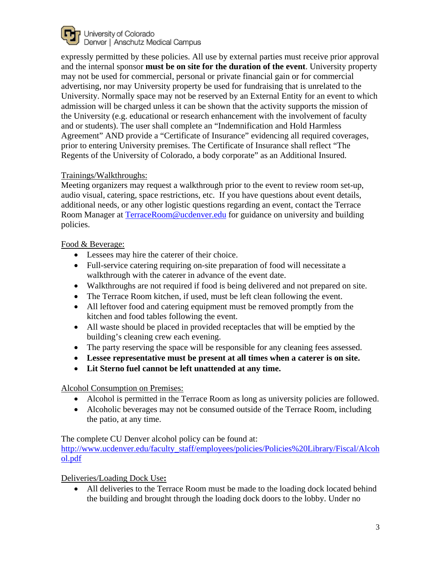

expressly permitted by these policies. All use by external parties must receive prior approval and the internal sponsor **must be on site for the duration of the event**. University property may not be used for commercial, personal or private financial gain or for commercial advertising, nor may University property be used for fundraising that is unrelated to the University. Normally space may not be reserved by an External Entity for an event to which admission will be charged unless it can be shown that the activity supports the mission of the University (e.g. educational or research enhancement with the involvement of faculty and or students). The user shall complete an "Indemnification and Hold Harmless Agreement" AND provide a "Certificate of Insurance" evidencing all required coverages, prior to entering University premises. The Certificate of Insurance shall reflect "The Regents of the University of Colorado, a body corporate" as an Additional Insured.

## Trainings/Walkthroughs:

Meeting organizers may request a walkthrough prior to the event to review room set-up, audio visual, catering, space restrictions, etc. If you have questions about event details, additional needs, or any other logistic questions regarding an event, contact the Terrace Room Manager at [TerraceRoom@ucdenver.edu](mailto:TerraceRoom@ucdenver.edu) for guidance on university and building policies.

## Food & Beverage:

- Lessees may hire the caterer of their choice.
- Full-service catering requiring on-site preparation of food will necessitate a walkthrough with the caterer in advance of the event date.
- Walkthroughs are not required if food is being delivered and not prepared on site.
- The Terrace Room kitchen, if used, must be left clean following the event.
- All leftover food and catering equipment must be removed promptly from the kitchen and food tables following the event.
- All waste should be placed in provided receptacles that will be emptied by the building's cleaning crew each evening.
- The party reserving the space will be responsible for any cleaning fees assessed.
- **Lessee representative must be present at all times when a caterer is on site.**
- **Lit Sterno fuel cannot be left unattended at any time.**

## Alcohol Consumption on Premises:

- Alcohol is permitted in the Terrace Room as long as university policies are followed.
- Alcoholic beverages may not be consumed outside of the Terrace Room, including the patio, at any time.

## The complete CU Denver alcohol policy can be found at:

[http://www.ucdenver.edu/faculty\\_staff/employees/policies/Policies%20Library/Fiscal/Alcoh](http://www.ucdenver.edu/faculty_staff/employees/policies/Policies%20Library/Fiscal/Alcohol.pdf) [ol.pdf](http://www.ucdenver.edu/faculty_staff/employees/policies/Policies%20Library/Fiscal/Alcohol.pdf)

## Deliveries/Loading Dock Use**:**

• All deliveries to the Terrace Room must be made to the loading dock located behind the building and brought through the loading dock doors to the lobby. Under no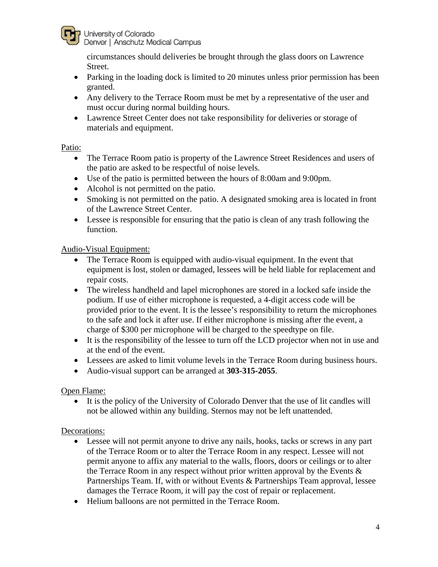

University of Colorado Denver | Anschutz Medical Campus

circumstances should deliveries be brought through the glass doors on Lawrence Street.

- Parking in the loading dock is limited to 20 minutes unless prior permission has been granted.
- Any delivery to the Terrace Room must be met by a representative of the user and must occur during normal building hours.
- Lawrence Street Center does not take responsibility for deliveries or storage of materials and equipment.

## Patio:

- The Terrace Room patio is property of the Lawrence Street Residences and users of the patio are asked to be respectful of noise levels.
- Use of the patio is permitted between the hours of 8:00am and 9:00pm.
- Alcohol is not permitted on the patio.
- Smoking is not permitted on the patio. A designated smoking area is located in front of the Lawrence Street Center.
- Lessee is responsible for ensuring that the patio is clean of any trash following the function.

#### Audio-Visual Equipment:

- The Terrace Room is equipped with audio-visual equipment. In the event that equipment is lost, stolen or damaged, lessees will be held liable for replacement and repair costs.
- The wireless handheld and lapel microphones are stored in a locked safe inside the podium. If use of either microphone is requested, a 4-digit access code will be provided prior to the event. It is the lessee's responsibility to return the microphones to the safe and lock it after use. If either microphone is missing after the event, a charge of \$300 per microphone will be charged to the speedtype on file.
- It is the responsibility of the lessee to turn off the LCD projector when not in use and at the end of the event.
- Lessees are asked to limit volume levels in the Terrace Room during business hours.
- Audio-visual support can be arranged at **303-315-2055**.

## Open Flame:

It is the policy of the University of Colorado Denver that the use of lit candles will not be allowed within any building. Sternos may not be left unattended.

## Decorations:

- Lessee will not permit anyone to drive any nails, hooks, tacks or screws in any part of the Terrace Room or to alter the Terrace Room in any respect. Lessee will not permit anyone to affix any material to the walls, floors, doors or ceilings or to alter the Terrace Room in any respect without prior written approval by the Events  $\&$ Partnerships Team. If, with or without Events & Partnerships Team approval, lessee damages the Terrace Room, it will pay the cost of repair or replacement.
- Helium balloons are not permitted in the Terrace Room.